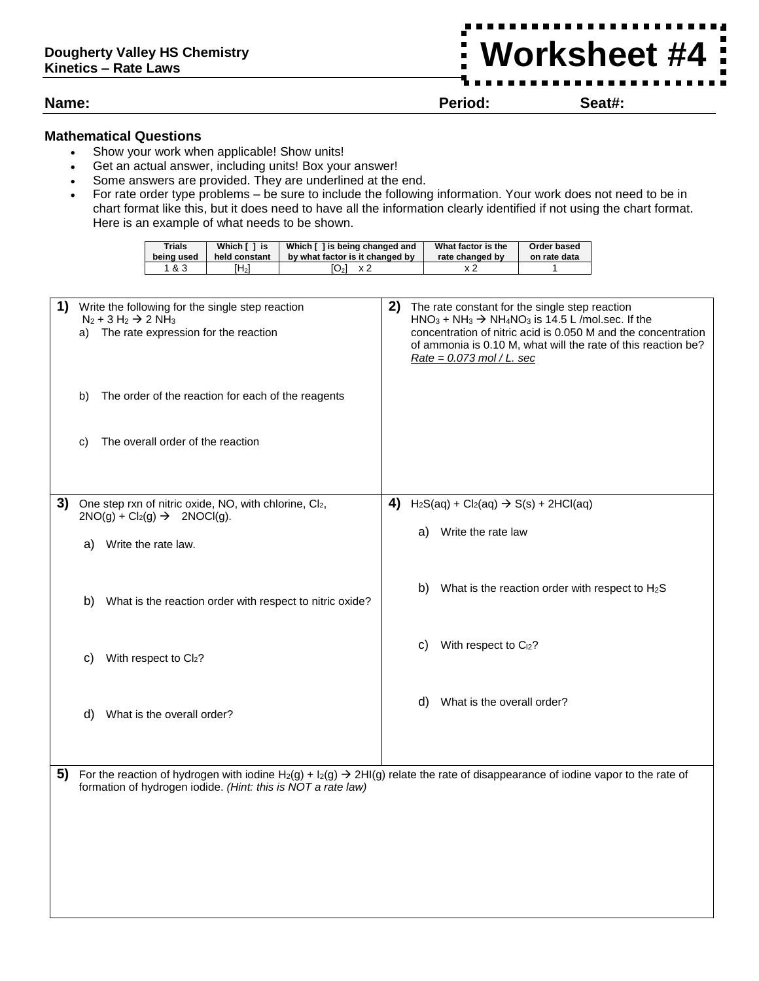**Name: Period: Seat#:**

**Worksheet #4**

## **Mathematical Questions**

- Show your work when applicable! Show units!
- Get an actual answer, including units! Box your answer!

formation of hydrogen iodide. *(Hint: this is NOT a rate law)*

- Some answers are provided. They are underlined at the end.
- For rate order type problems be sure to include the following information. Your work does not need to be in chart format like this, but it does need to have all the information clearly identified if not using the chart format. Here is an example of what needs to be shown.

| Trials     | Which [ ] is  | Which [] is being changed and   | What factor is the | Order based  |
|------------|---------------|---------------------------------|--------------------|--------------|
| being used | held constant | by what factor is it changed by | rate changed by    | on rate data |
| 1&3        | $H_2$         | O <sub>2</sub><br>- x 2         |                    |              |

| 1) | Write the following for the single step reaction<br>$N_2 + 3 H_2 \rightarrow 2 NH_3$<br>The rate expression for the reaction<br>a)<br>The order of the reaction for each of the reagents<br>b) | 2)<br>The rate constant for the single step reaction<br>$HNO3 + NH3$ $\rightarrow$ NH <sub>4</sub> NO <sub>3</sub> is 14.5 L /mol.sec. If the<br>concentration of nitric acid is 0.050 M and the concentration<br>of ammonia is 0.10 M, what will the rate of this reaction be?<br>$Rate = 0.073$ mol / L. sec |
|----|------------------------------------------------------------------------------------------------------------------------------------------------------------------------------------------------|----------------------------------------------------------------------------------------------------------------------------------------------------------------------------------------------------------------------------------------------------------------------------------------------------------------|
|    | The overall order of the reaction<br>C)                                                                                                                                                        |                                                                                                                                                                                                                                                                                                                |
| 3) | One step rxn of nitric oxide, NO, with chlorine, Cl2,<br>$2NO(g) + Cl2(g)$ $\rightarrow$ 2NOCl(g).                                                                                             | 4)<br>$H_2S(aq) + Cl_2(aq) \rightarrow S(s) + 2HCl(aq)$                                                                                                                                                                                                                                                        |
|    | Write the rate law.<br>a)                                                                                                                                                                      | Write the rate law<br>a)                                                                                                                                                                                                                                                                                       |
|    | What is the reaction order with respect to nitric oxide?<br>b)                                                                                                                                 | What is the reaction order with respect to $H_2S$<br>b)                                                                                                                                                                                                                                                        |
|    | With respect to Cl2?<br>C)                                                                                                                                                                     | With respect to C <sub>12</sub> ?<br>C)                                                                                                                                                                                                                                                                        |
|    | What is the overall order?<br>d)                                                                                                                                                               | What is the overall order?<br>d)                                                                                                                                                                                                                                                                               |
| 5) |                                                                                                                                                                                                | For the reaction of hydrogen with iodine H <sub>2</sub> (g) + I <sub>2</sub> (g) $\rightarrow$ 2HI(g) relate the rate of disappearance of iodine vapor to the rate of                                                                                                                                          |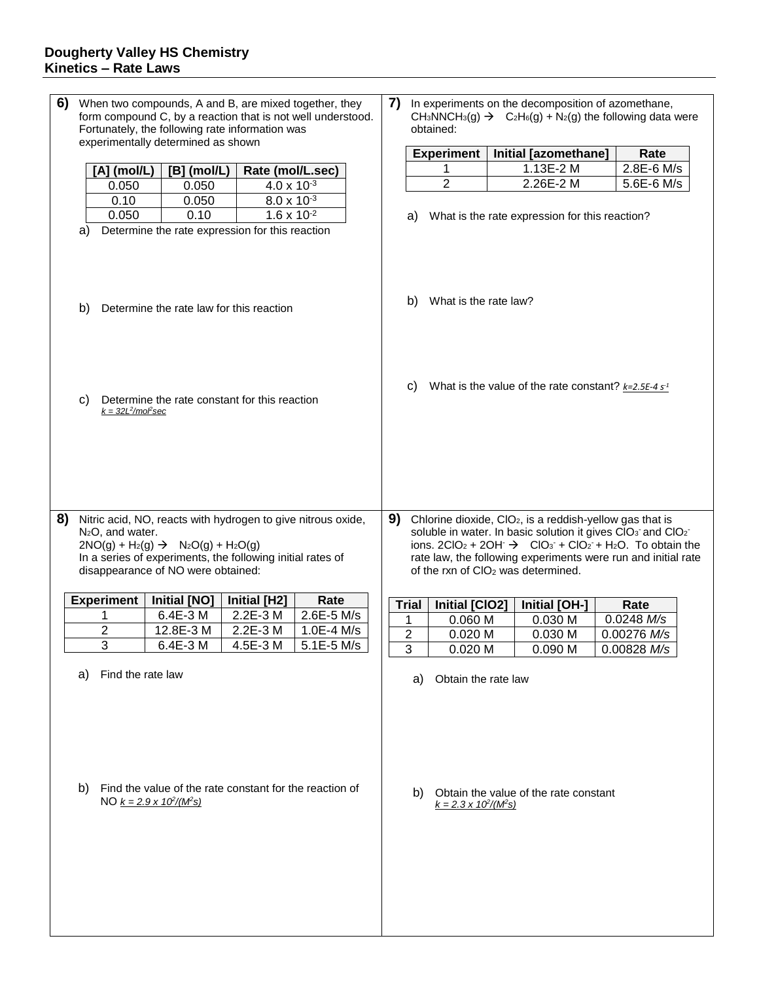| 6) | When two compounds, A and B, are mixed together, they<br>form compound C, by a reaction that is not well understood.<br>Fortunately, the following rate information was<br>experimentally determined as shown                               |                            |                                                                                             | 7)<br>In experiments on the decomposition of azomethane,<br>CH <sub>3</sub> NNCH <sub>3</sub> (g) $\rightarrow$ C <sub>2</sub> H <sub>6</sub> (g) + N <sub>2</sub> (g) the following data were<br>obtained:                                                                                                                                                     |              |  |                |                                    |  |                                                           |  |             |  |
|----|---------------------------------------------------------------------------------------------------------------------------------------------------------------------------------------------------------------------------------------------|----------------------------|---------------------------------------------------------------------------------------------|-----------------------------------------------------------------------------------------------------------------------------------------------------------------------------------------------------------------------------------------------------------------------------------------------------------------------------------------------------------------|--------------|--|----------------|------------------------------------|--|-----------------------------------------------------------|--|-------------|--|
|    |                                                                                                                                                                                                                                             |                            |                                                                                             |                                                                                                                                                                                                                                                                                                                                                                 |              |  |                | <b>Experiment</b>                  |  | Initial [azomethane]                                      |  | Rate        |  |
|    |                                                                                                                                                                                                                                             | [A] (mol/L)                | $[B]$ (mol/L)                                                                               | Rate (mol/L.sec)                                                                                                                                                                                                                                                                                                                                                |              |  |                | 1                                  |  | 1.13E-2 M                                                 |  | 2.8E-6 M/s  |  |
|    |                                                                                                                                                                                                                                             | 0.050                      | 0.050                                                                                       | $4.0 \times 10^{-3}$                                                                                                                                                                                                                                                                                                                                            |              |  |                | $\overline{2}$                     |  | 2.26E-2 M                                                 |  | 5.6E-6 M/s  |  |
|    |                                                                                                                                                                                                                                             | 0.10                       | 0.050                                                                                       | $8.0 \times 10^{-3}$                                                                                                                                                                                                                                                                                                                                            |              |  |                |                                    |  |                                                           |  |             |  |
|    |                                                                                                                                                                                                                                             | 0.050                      | 0.10                                                                                        | $1.6 \times 10^{-2}$                                                                                                                                                                                                                                                                                                                                            |              |  |                |                                    |  | What is the rate expression for this reaction?            |  |             |  |
|    | a)                                                                                                                                                                                                                                          |                            | Determine the rate expression for this reaction                                             |                                                                                                                                                                                                                                                                                                                                                                 |              |  | a)             |                                    |  |                                                           |  |             |  |
|    | b)                                                                                                                                                                                                                                          |                            | Determine the rate law for this reaction                                                    |                                                                                                                                                                                                                                                                                                                                                                 |              |  | b)             | What is the rate law?              |  |                                                           |  |             |  |
|    | C)                                                                                                                                                                                                                                          | $k = 32L^2/m$ o $\ell$ sec | Determine the rate constant for this reaction                                               |                                                                                                                                                                                                                                                                                                                                                                 |              |  | C)             |                                    |  | What is the value of the rate constant? $k=2.5E-4 s^{-1}$ |  |             |  |
| 8) | Nitric acid, NO, reacts with hydrogen to give nitrous oxide,<br>$N_2O$ , and water.<br>$2NO(g) + H_2(g) \rightarrow Na_2O(g) + H_2O(g)$<br>In a series of experiments, the following initial rates of<br>disappearance of NO were obtained: |                            |                                                                                             | 9)<br>Chlorine dioxide, CIO <sub>2</sub> , is a reddish-yellow gas that is<br>soluble in water. In basic solution it gives CIO <sub>3</sub> and CIO <sub>2</sub><br>ions. $2ClO2 + 2OH^ \rightarrow$ $ClO3$ + $ClO2$ + $H2O$ . To obtain the<br>rate law, the following experiments were run and initial rate<br>of the rxn of CIO <sub>2</sub> was determined. |              |  |                |                                    |  |                                                           |  |             |  |
|    |                                                                                                                                                                                                                                             | <b>Experiment</b>          | <b>Initial [NO]</b>                                                                         | <b>Initial [H2]</b>                                                                                                                                                                                                                                                                                                                                             | Rate         |  | <b>Trial</b>   | <b>Initial [CIO2]</b>              |  | Initial [OH-]                                             |  | Rate        |  |
|    |                                                                                                                                                                                                                                             | 1                          | 6.4E-3 M                                                                                    | 2.2E-3 M                                                                                                                                                                                                                                                                                                                                                        | 2.6E-5 M/s   |  | 1              | 0.060 M                            |  | 0.030 M                                                   |  | 0.0248 M/s  |  |
|    |                                                                                                                                                                                                                                             | $\overline{2}$             | 12.8E-3 M                                                                                   | 2.2E-3 M                                                                                                                                                                                                                                                                                                                                                        | 1.0E-4 M/s   |  | 2              | 0.020 M                            |  | 0.030 M                                                   |  | 0.00276 M/s |  |
|    |                                                                                                                                                                                                                                             | 3                          | 6.4E-3 M                                                                                    | 4.5E-3 M                                                                                                                                                                                                                                                                                                                                                        | $5.1E-5$ M/s |  | $\overline{3}$ | 0.020 M                            |  | 0.090 M                                                   |  | 0.00828 M/s |  |
|    | a)                                                                                                                                                                                                                                          | Find the rate law          |                                                                                             |                                                                                                                                                                                                                                                                                                                                                                 |              |  | a)             | Obtain the rate law                |  |                                                           |  |             |  |
|    | b)                                                                                                                                                                                                                                          |                            | Find the value of the rate constant for the reaction of<br>NO $k = 2.9 \times 10^2/(M^2 s)$ |                                                                                                                                                                                                                                                                                                                                                                 |              |  | b)             | $k = 2.3 \times 10^2/(M\text{ s})$ |  | Obtain the value of the rate constant                     |  |             |  |